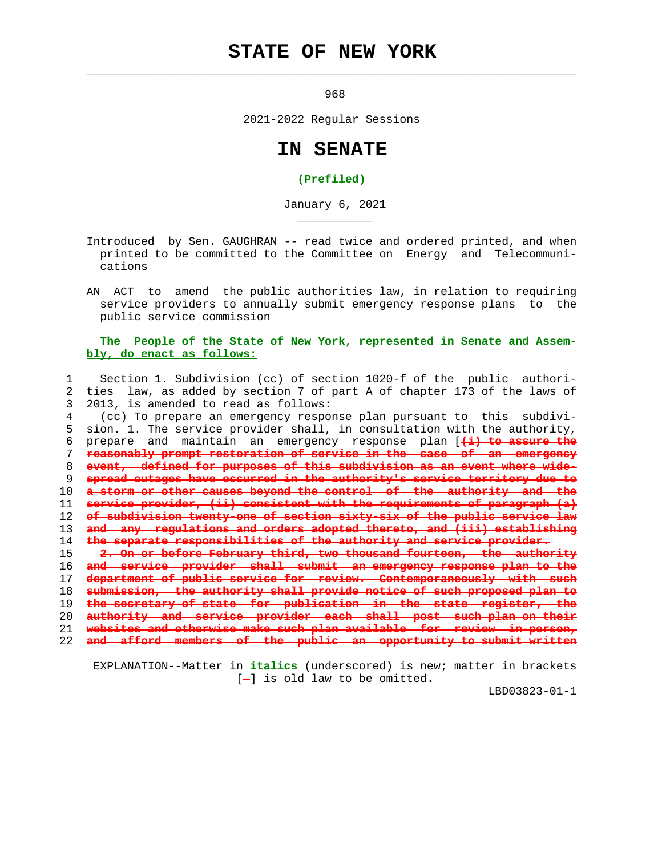## **STATE OF NEW YORK**

 $\mathcal{L}_\text{max} = \frac{1}{2} \sum_{i=1}^{n} \frac{1}{2} \sum_{i=1}^{n} \frac{1}{2} \sum_{i=1}^{n} \frac{1}{2} \sum_{i=1}^{n} \frac{1}{2} \sum_{i=1}^{n} \frac{1}{2} \sum_{i=1}^{n} \frac{1}{2} \sum_{i=1}^{n} \frac{1}{2} \sum_{i=1}^{n} \frac{1}{2} \sum_{i=1}^{n} \frac{1}{2} \sum_{i=1}^{n} \frac{1}{2} \sum_{i=1}^{n} \frac{1}{2} \sum_{i=1}^{n} \frac{1$ 

\_\_\_\_\_\_\_\_\_\_\_

<u>968</u>

2021-2022 Regular Sessions

## **IN SENATE**

## **(Prefiled)**

January 6, 2021

 Introduced by Sen. GAUGHRAN -- read twice and ordered printed, and when printed to be committed to the Committee on Energy and Telecommuni cations

 AN ACT to amend the public authorities law, in relation to requiring service providers to annually submit emergency response plans to the public service commission

## **The People of the State of New York, represented in Senate and Assem bly, do enact as follows:**

 1 Section 1. Subdivision (cc) of section 1020-f of the public authori- 2 ties law, as added by section 7 of part A of chapter 173 of the laws of 3 2013, is amended to read as follows:

 4 (cc) To prepare an emergency response plan pursuant to this subdivi- 5 sion. 1. The service provider shall, in consultation with the authority, 6 prepare and maintain an emergency response plan [**(i) to assure the reasonably prompt restoration of service in the case of an emergency event, defined for purposes of this subdivision as an event where wide- spread outages have occurred in the authority's service territory due to a storm or other causes beyond the control of the authority and the service provider, (ii) consistent with the requirements of paragraph (a) of subdivision twenty-one of section sixty-six of the public service law and any regulations and orders adopted thereto, and (iii) establishing the separate responsibilities of the authority and service provider. 2. On or before February third, two thousand fourteen, the authority and service provider shall submit an emergency response plan to the department of public service for review. Contemporaneously with such submission, the authority shall provide notice of such proposed plan to the secretary of state for publication in the state register, the authority and service provider each shall post such plan on their websites and otherwise make such plan available for review in-person, and afford members of the public an opportunity to submit written**

 EXPLANATION--Matter in **italics** (underscored) is new; matter in brackets  $[-]$  is old law to be omitted.

LBD03823-01-1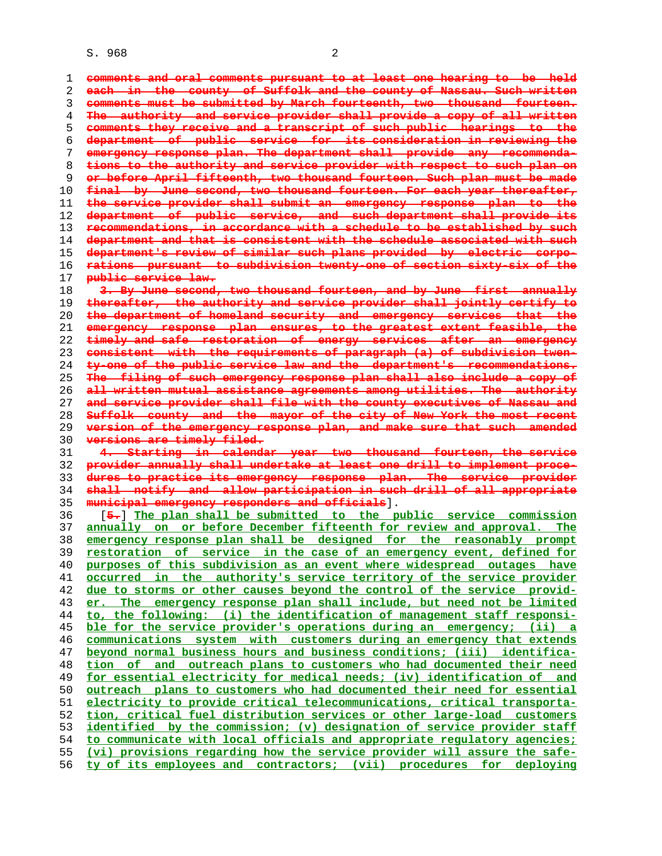S. 968 2

**comments and oral comments pursuant to at least one hearing to be held each in the county of Suffolk and the county of Nassau. Such written comments must be submitted by March fourteenth, two thousand fourteen. The authority and service provider shall provide a copy of all written comments they receive and a transcript of such public hearings to the department of public service for its consideration in reviewing the emergency response plan. The department shall provide any recommenda- tions to the authority and service provider with respect to such plan on or before April fifteenth, two thousand fourteen. Such plan must be made final by June second, two thousand fourteen. For each year thereafter, the service provider shall submit an emergency response plan to the department of public service, and such department shall provide its recommendations, in accordance with a schedule to be established by such department and that is consistent with the schedule associated with such department's review of similar such plans provided by electric corpo- rations pursuant to subdivision twenty-one of section sixty-six of the public service law. 3. By June second, two thousand fourteen, and by June first annually thereafter, the authority and service provider shall jointly certify to the department of homeland security and emergency services that the emergency response plan ensures, to the greatest extent feasible, the timely and safe restoration of energy services after an emergency consistent with the requirements of paragraph (a) of subdivision twen- ty-one of the public service law and the department's recommendations. The filing of such emergency response plan shall also include a copy of all written mutual assistance agreements among utilities. The authority and service provider shall file with the county executives of Nassau and Suffolk county and the mayor of the city of New York the most recent version of the emergency response plan, and make sure that such amended versions are timely filed. 4. Starting in calendar year two thousand fourteen, the service provider annually shall undertake at least one drill to implement proce- dures to practice its emergency response plan. The service provider shall notify and allow participation in such drill of all appropriate municipal emergency responders and officials**]. 36 [**5.**] **The plan shall be submitted to the public service commission annually on or before December fifteenth for review and approval. The emergency response plan shall be designed for the reasonably prompt restoration of service in the case of an emergency event, defined for purposes of this subdivision as an event where widespread outages have occurred in the authority's service territory of the service provider due to storms or other causes beyond the control of the service provid- er. The emergency response plan shall include, but need not be limited to, the following: (i) the identification of management staff responsi- ble for the service provider's operations during an emergency; (ii) a communications system with customers during an emergency that extends beyond normal business hours and business conditions; (iii) identifica- tion of and outreach plans to customers who had documented their need for essential electricity for medical needs; (iv) identification of and outreach plans to customers who had documented their need for essential electricity to provide critical telecommunications, critical transporta- tion, critical fuel distribution services or other large-load customers identified by the commission; (v) designation of service provider staff to communicate with local officials and appropriate regulatory agencies; (vi) provisions regarding how the service provider will assure the safe- ty of its employees and contractors; (vii) procedures for deploying**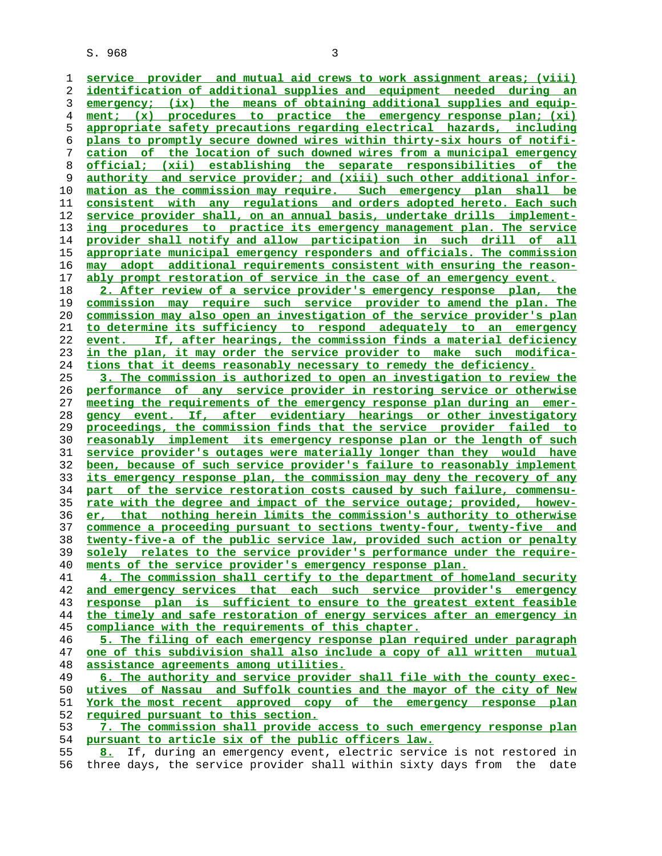S. 968 3

**service provider and mutual aid crews to work assignment areas; (viii) identification of additional supplies and equipment needed during an emergency; (ix) the means of obtaining additional supplies and equip- ment; (x) procedures to practice the emergency response plan; (xi) appropriate safety precautions regarding electrical hazards, including plans to promptly secure downed wires within thirty-six hours of notifi- cation of the location of such downed wires from a municipal emergency official; (xii) establishing the separate responsibilities of the authority and service provider; and (xiii) such other additional infor- mation as the commission may require. Such emergency plan shall be consistent with any regulations and orders adopted hereto. Each such service provider shall, on an annual basis, undertake drills implement- ing procedures to practice its emergency management plan. The service provider shall notify and allow participation in such drill of all appropriate municipal emergency responders and officials. The commission may adopt additional requirements consistent with ensuring the reason- ably prompt restoration of service in the case of an emergency event. 2. After review of a service provider's emergency response plan, the**

**commission may require such service provider to amend the plan. The commission may also open an investigation of the service provider's plan to determine its sufficiency to respond adequately to an emergency event. If, after hearings, the commission finds a material deficiency in the plan, it may order the service provider to make such modifica- tions that it deems reasonably necessary to remedy the deficiency.**

**3. The commission is authorized to open an investigation to review the performance of any service provider in restoring service or otherwise meeting the requirements of the emergency response plan during an emer- gency event. If, after evidentiary hearings or other investigatory proceedings, the commission finds that the service provider failed to reasonably implement its emergency response plan or the length of such service provider's outages were materially longer than they would have been, because of such service provider's failure to reasonably implement its emergency response plan, the commission may deny the recovery of any part of the service restoration costs caused by such failure, commensu- rate with the degree and impact of the service outage; provided, howev- er, that nothing herein limits the commission's authority to otherwise commence a proceeding pursuant to sections twenty-four, twenty-five and twenty-five-a of the public service law, provided such action or penalty solely relates to the service provider's performance under the require- ments of the service provider's emergency response plan.**

**4. The commission shall certify to the department of homeland security and emergency services that each such service provider's emergency response plan is sufficient to ensure to the greatest extent feasible the timely and safe restoration of energy services after an emergency in compliance with the requirements of this chapter.**

**5. The filing of each emergency response plan required under paragraph one of this subdivision shall also include a copy of all written mutual assistance agreements among utilities.**

**6. The authority and service provider shall file with the county exec- utives of Nassau and Suffolk counties and the mayor of the city of New York the most recent approved copy of the emergency response plan required pursuant to this section.**

**7. The commission shall provide access to such emergency response plan pursuant to article six of the public officers law.**

**8.** If, during an emergency event, electric service is not restored in 56 three days, the service provider shall within sixty days from the date